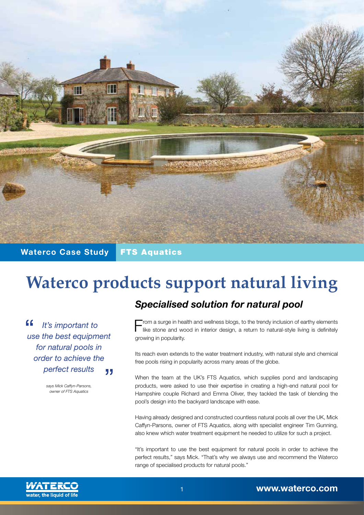

## **Waterco Case Study** FTS Aquatics

# **Waterco products support natural living**

 $66$  *It's important to use the best equipment for natural pools in order to achieve the perfect results* "

> *says Mick Caffyn-Parsons, owner of FTS Aquatics*

# *Specialised solution for natural pool*

From a surge in health and wellness blogs, to the trendy inclusion of earthy elements<br>like stone and wood in interior design, a return to natural-style living is definitely growing in popularity.

Its reach even extends to the water treatment industry, with natural style and chemical free pools rising in popularity across many areas of the globe.

When the team at the UK's FTS Aquatics, which supplies pond and landscaping products, were asked to use their expertise in creating a high-end natural pool for Hampshire couple Richard and Emma Oliver, they tackled the task of blending the pool's design into the backyard landscape with ease.

Having already designed and constructed countless natural pools all over the UK, Mick Caffyn-Parsons, owner of FTS Aquatics, along with specialist engineer Tim Gunning, also knew which water treatment equipment he needed to utilize for such a project.

"It's important to use the best equipment for natural pools in order to achieve the perfect results," says Mick. "That's why we always use and recommend the Waterco range of specialised products for natural pools."

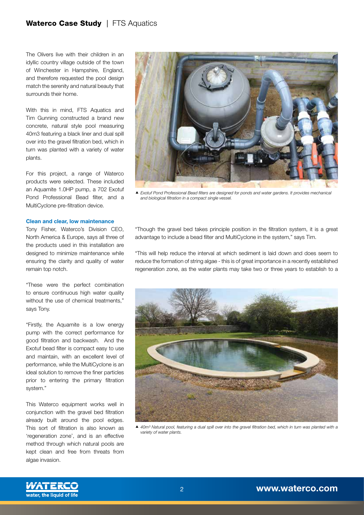### Waterco Case Study | FTS Aquatics

The Olivers live with their children in an idyllic country village outside of the town of Winchester in Hampshire, England, and therefore requested the pool design match the serenity and natural beauty that surrounds their home.

With this in mind, FTS Aquatics and Tim Gunning constructed a brand new concrete, natural style pool measuring 40m3 featuring a black liner and dual spill over into the gravel filtration bed, which in turn was planted with a variety of water plants.

For this project, a range of Waterco products were selected. These included an Aquamite 1.0HP pump, a 702 Exotuf Pond Professional Bead filter, and a MultiCyclone pre-filtration device.

#### **Clean and clear, low maintenance**

Tony Fisher, Waterco's Division CEO, North America & Europe, says all three of the products used in this installation are designed to minimize maintenance while ensuring the clarity and quality of water remain top notch.

"These were the perfect combination to ensure continuous high water quality without the use of chemical treatments." says Tony.

"Firstly, the Aquamite is a low energy pump with the correct performance for good filtration and backwash. And the Exotuf bead filter is compact easy to use and maintain, with an excellent level of performance, while the MultiCyclone is an ideal solution to remove the finer particles prior to entering the primary filtration system."

This Waterco equipment works well in conjunction with the gravel bed filtration already built around the pool edges. This sort of filtration is also known as 'regeneration zone', and is an effective method through which natural pools are kept clean and free from threats from algae invasion.



*Exotuf Pond Professional Bead filters are designed for ponds and water gardens. It provides mechanical and biological filtration in a compact single vessel.*

"Though the gravel bed takes principle position in the filtration system, it is a great advantage to include a bead filter and MultiCyclone in the system," says Tim.

"This will help reduce the interval at which sediment is laid down and does seem to reduce the formation of string algae - this is of great importance in a recently established regeneration zone, as the water plants may take two or three years to establish to a



*40m³ Natural pool, featuring a dual spill over into the gravel filtration bed, which in turn was planted with a variety of water plants.*